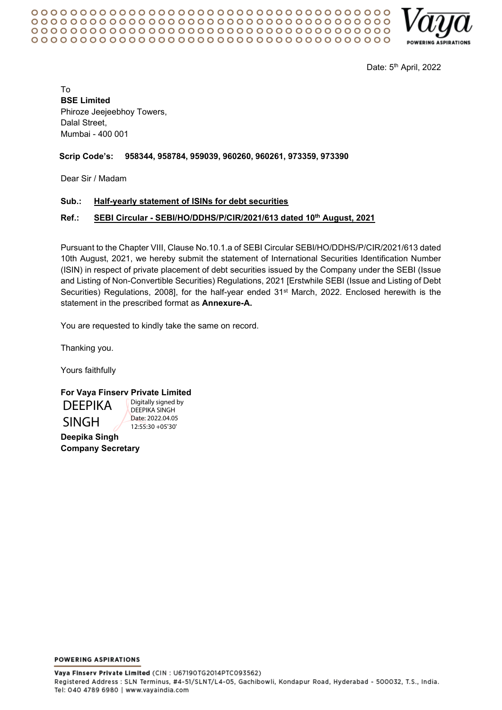

Date: 5<sup>th</sup> April, 2022

To **BSE Limited** Phiroze Jeejeebhoy Towers, Dalal Street, Mumbai - 400 001

# **Scrip Code's: 958344, 958784, 959039, 960260, 960261, 973359, 973390**

Dear Sir / Madam

# **Sub.: Half-yearly statement of ISINs for debt securities**

# **Ref.: SEBI Circular - SEBI/HO/DDHS/P/CIR/2021/613 dated 10th August, 2021**

Pursuant to the Chapter VIII, Clause No.10.1.a of SEBI Circular SEBI/HO/DDHS/P/CIR/2021/613 dated 10th August, 2021, we hereby submit the statement of International Securities Identification Number (ISIN) in respect of private placement of debt securities issued by the Company under the SEBI (Issue and Listing of Non-Convertible Securities) Regulations, 2021 [Erstwhile SEBI (Issue and Listing of Debt Securities) Regulations, 2008], for the half-year ended 31st March, 2022. Enclosed herewith is the statement in the prescribed format as **Annexure-A.**

You are requested to kindly take the same on record.

Thanking you.

Yours faithfully

# **For Vaya Finserv Private Limited**

DEEPIKA SINGH

**Deepika Singh Company Secretary**

Digitally signed by DEEPIKA SINGH Date: 2022.04.05 12:55:30 +05'30'

**POWERING ASPIRATIONS**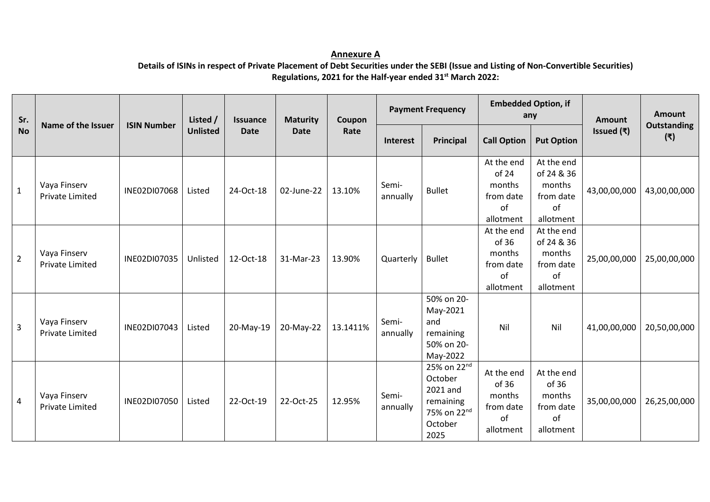# **Annexure A Details of ISINs in respect of Private Placement of Debt Securities under the SEBI (Issue and Listing of Non-Convertible Securities) Regulations, 2021 for the Half-year ended 31st March 2022:**

| Sr.<br><b>No</b> | Name of the Issuer                     | <b>ISIN Number</b> | Listed /<br><b>Unlisted</b> | <b>Issuance</b><br><b>Date</b> | <b>Maturity</b><br><b>Date</b> | Coupon<br>Rate | <b>Payment Frequency</b> |                                                                                               | <b>Embedded Option, if</b><br>any                             |                                                                    | <b>Amount</b> | Amount                    |
|------------------|----------------------------------------|--------------------|-----------------------------|--------------------------------|--------------------------------|----------------|--------------------------|-----------------------------------------------------------------------------------------------|---------------------------------------------------------------|--------------------------------------------------------------------|---------------|---------------------------|
|                  |                                        |                    |                             |                                |                                |                | Interest                 | Principal                                                                                     | <b>Call Option</b>                                            | <b>Put Option</b>                                                  | Issued $(₹)$  | <b>Outstanding</b><br>(₹) |
| $\mathbf{1}$     | Vaya Finserv<br><b>Private Limited</b> | INE02DI07068       | Listed                      | 24-Oct-18                      | 02-June-22                     | 13.10%         | Semi-<br>annually        | <b>Bullet</b>                                                                                 | At the end<br>of 24<br>months<br>from date<br>of<br>allotment | At the end<br>of 24 & 36<br>months<br>from date<br>of<br>allotment | 43,00,00,000  | 43,00,00,000              |
| $\overline{2}$   | Vaya Finserv<br><b>Private Limited</b> | INE02DI07035       | Unlisted                    | 12-Oct-18                      | 31-Mar-23                      | 13.90%         | Quarterly                | <b>Bullet</b>                                                                                 | At the end<br>of 36<br>months<br>from date<br>of<br>allotment | At the end<br>of 24 & 36<br>months<br>from date<br>of<br>allotment | 25,00,00,000  | 25,00,00,000              |
| $\overline{3}$   | Vaya Finserv<br><b>Private Limited</b> | INE02DI07043       | Listed                      | 20-May-19                      | 20-May-22                      | 13.1411%       | Semi-<br>annually        | 50% on 20-<br>May-2021<br>and<br>remaining<br>50% on 20-<br>May-2022                          | Nil                                                           | Nil                                                                | 41,00,00,000  | 20,50,00,000              |
| $\overline{4}$   | Vaya Finserv<br><b>Private Limited</b> | INE02DI07050       | Listed                      | 22-Oct-19                      | 22-Oct-25                      | 12.95%         | Semi-<br>annually        | 25% on 22nd<br>October<br>2021 and<br>remaining<br>75% on 22 <sup>nd</sup><br>October<br>2025 | At the end<br>of 36<br>months<br>from date<br>of<br>allotment | At the end<br>of 36<br>months<br>from date<br>of<br>allotment      | 35,00,00,000  | 26,25,00,000              |